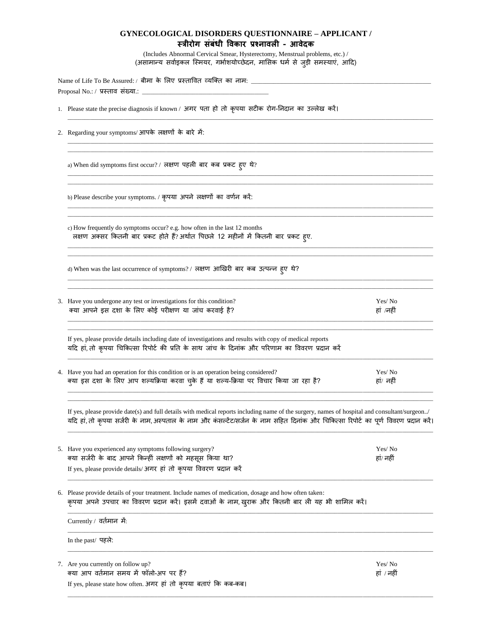## **GYNECOLOGICAL DISORDERS QUESTIONNAIRE – APPLICANT / स्त्रीरोग संबंधी विकार प्रश्नािली - आिेदक**

(Includes Abnormal Cervical Smear, Hysterectomy, Menstrual problems, etc.) / (असामान्य सर्वाइकल स्मियर, गर्भाशयोच्छेदन, मासिक धर्म से जुड़ी समस्याएं, आदि)

| Name of Life To Be Assured: / बीमा के लिए प्रस्तावित व्यक्ति का नाम: ______________________________                                                                |  |  |  |  |  |  |
|--------------------------------------------------------------------------------------------------------------------------------------------------------------------|--|--|--|--|--|--|
| 1. Please state the precise diagnosis if known / अगर पता हो तो कृपया सटीक रोग-निदान का उल्लेख करें।                                                                |  |  |  |  |  |  |
| 2. Regarding your symptoms/आपके लक्षणों के बारे में:                                                                                                               |  |  |  |  |  |  |
| a) When did symptoms first occur? / लक्षण पहली बार कब प्रकट ह्ए थे?                                                                                                |  |  |  |  |  |  |
| b) Please describe your symptoms. / कृपया अपने लक्षणों का वर्णन करें:                                                                                              |  |  |  |  |  |  |
| c) How frequently do symptoms occur? e.g. how often in the last 12 months<br>लक्षण अक्सर कितनी बार प्रकट होते हैं? अर्थात पिछले 12 महीनों में कितनी बार प्रकट हूए. |  |  |  |  |  |  |

d) When was the last occurrence of symptoms? / लक्षण आखखरी बार कब उत्पन्न हुए थे?

| 3. Have you undergone any test or investigations for this condition? | Yes/No    |
|----------------------------------------------------------------------|-----------|
| क्या आपने इस दशा के लिए कोई परीक्षण या जांच करवाई है?                | हां /नहीं |
|                                                                      |           |

\_\_\_\_\_\_\_\_\_\_\_\_\_\_\_\_\_\_\_\_\_\_\_\_\_\_\_\_\_\_\_\_\_\_\_\_\_\_\_\_\_\_\_\_\_\_\_\_\_\_\_\_\_\_\_\_\_\_\_\_\_\_\_\_\_\_\_\_\_\_\_\_\_\_\_\_\_\_\_\_\_\_\_\_\_\_\_\_\_\_\_\_\_\_\_\_\_\_\_\_\_\_\_\_\_\_\_\_\_\_\_\_\_\_\_\_\_\_\_\_\_\_\_\_\_\_\_\_\_\_ \_\_\_\_\_\_\_\_\_\_\_\_\_\_\_\_\_\_\_\_\_\_\_\_\_\_\_\_\_\_\_\_\_\_\_\_\_\_\_\_\_\_\_\_\_\_\_\_\_\_\_\_\_\_\_\_\_\_\_\_\_\_\_\_\_\_\_\_\_\_\_\_\_\_\_\_\_\_\_\_\_\_\_\_\_\_\_\_\_\_\_\_\_\_\_\_\_\_\_\_\_\_\_\_\_\_\_\_\_\_\_\_\_\_\_\_\_\_\_\_\_\_\_\_\_\_\_\_\_\_

\_\_\_\_\_\_\_\_\_\_\_\_\_\_\_\_\_\_\_\_\_\_\_\_\_\_\_\_\_\_\_\_\_\_\_\_\_\_\_\_\_\_\_\_\_\_\_\_\_\_\_\_\_\_\_\_\_\_\_\_\_\_\_\_\_\_\_\_\_\_\_\_\_\_\_\_\_\_\_\_\_\_\_\_\_\_\_\_\_\_\_\_\_\_\_\_\_\_\_\_\_\_\_\_\_\_\_\_\_\_\_\_\_\_\_\_\_\_\_\_\_\_\_\_\_\_\_\_\_\_

\_\_\_\_\_\_\_\_\_\_\_\_\_\_\_\_\_\_\_\_\_\_\_\_\_\_\_\_\_\_\_\_\_\_\_\_\_\_\_\_\_\_\_\_\_\_\_\_\_\_\_\_\_\_\_\_\_\_\_\_\_\_\_\_\_\_\_\_\_\_\_\_\_\_\_\_\_\_\_\_\_\_\_\_\_\_\_\_\_\_\_\_\_\_\_\_\_\_\_\_\_\_\_\_\_\_\_\_\_\_\_\_\_\_\_\_\_\_\_\_\_\_\_\_\_\_\_\_\_\_

If yes, please provide details including date of investigations and results with copy of medical reports यदि हां, तो कृपया चिकित्सा रिपोर्ट की प्रति के साथ जांच के दिनांक और परिणाम का विवरण प्रदान करें

4. Have you had an operation for this condition or is an operation being considered? Yes/ No क्या इस दशा के लिए आप शल्यक्रिया करवा चुके हैं या शल्य-क्रिया पर विचार किया जा रहा है? बाही हां/ नहीं \_\_\_\_\_\_\_\_\_\_\_\_\_\_\_\_\_\_\_\_\_\_\_\_\_\_\_\_\_\_\_\_\_\_\_\_\_\_\_\_\_\_\_\_\_\_\_\_\_\_\_\_\_\_\_\_\_\_\_\_\_\_\_\_\_\_\_\_\_\_\_\_\_\_\_\_\_\_\_\_\_\_\_\_\_\_\_\_\_\_\_\_\_\_\_\_\_\_\_\_\_\_\_\_\_\_\_\_\_\_\_\_\_\_\_\_\_\_\_\_\_\_\_\_\_\_\_\_\_\_

If yes, please provide date(s) and full details with medical reports including name of the surgery, names of hospital and consultant/surgeon../ यदि हां, तो कृपया सर्जरी के नाम, अस्पताल के नाम और कंसल्टेंट/सर्जन के नाम सहित दिनांक और चिकित्सा रिपोर्ट का पूर्ण विवरण प्रदान करें। \_\_\_\_\_\_\_\_\_\_\_\_\_\_\_\_\_\_\_\_\_\_\_\_\_\_\_\_\_\_\_\_\_\_\_\_\_\_\_\_\_\_\_\_\_\_\_\_\_\_\_\_\_\_\_\_\_\_\_\_\_\_\_\_\_\_\_\_\_\_\_\_\_\_\_\_\_\_\_\_\_\_\_\_\_\_\_\_\_\_\_\_\_\_\_\_\_\_\_\_\_\_\_\_\_\_\_\_\_\_\_\_\_\_\_\_\_\_\_\_\_\_\_\_\_\_\_\_\_\_

\_\_\_\_\_\_\_\_\_\_\_\_\_\_\_\_\_\_\_\_\_\_\_\_\_\_\_\_\_\_\_\_\_\_\_\_\_\_\_\_\_\_\_\_\_\_\_\_\_\_\_\_\_\_\_\_\_\_\_\_\_\_\_\_\_\_\_\_\_\_\_\_\_\_\_\_\_\_\_\_\_\_\_\_\_\_\_\_\_\_\_\_\_\_\_\_\_\_\_\_\_\_\_\_\_\_\_\_\_\_\_\_\_\_\_\_\_\_\_\_\_\_\_\_\_\_\_\_\_\_

| 5. Have you experienced any symptoms following surgery?<br>क्या सर्जरी के बाद आपने किन्हीं लक्षणों को महसूस किया था?<br>If yes, please provide details/ अगर हां तो कृपया विवरण प्रदान करें                  | Yes/ No<br>हां/ नहीं |  |
|-------------------------------------------------------------------------------------------------------------------------------------------------------------------------------------------------------------|----------------------|--|
| 6. Please provide details of your treatment. Include names of medication, dosage and how often taken:<br>कृपया अपने उपचार का विवरण प्रदान करें। इसमें दवाओं के नाम, खुराक और कितनी बार ली यह भी शामिल करें। |                      |  |
| Currently / वर्तमान में:                                                                                                                                                                                    |                      |  |
| In the past/ पहले:                                                                                                                                                                                          |                      |  |
| 7. Are you currently on follow up?                                                                                                                                                                          | Yes/ No              |  |

\_\_\_\_\_\_\_\_\_\_\_\_\_\_\_\_\_\_\_\_\_\_\_\_\_\_\_\_\_\_\_\_\_\_\_\_\_\_\_\_\_\_\_\_\_\_\_\_\_\_\_\_\_\_\_\_\_\_\_\_\_\_\_\_\_\_\_\_\_\_\_\_\_\_\_\_\_\_\_\_\_\_\_\_\_\_\_\_\_\_\_\_\_\_\_\_\_\_\_\_\_\_\_\_\_\_\_\_\_\_\_\_\_\_\_\_\_\_\_\_\_\_\_\_\_\_\_\_\_\_

तया आप र्तामान समय में फॉलो-अप पर हैं? हां / नहीं

If yes, please state how often. अगर हां तो कृपया बताएं कक कब-कब।